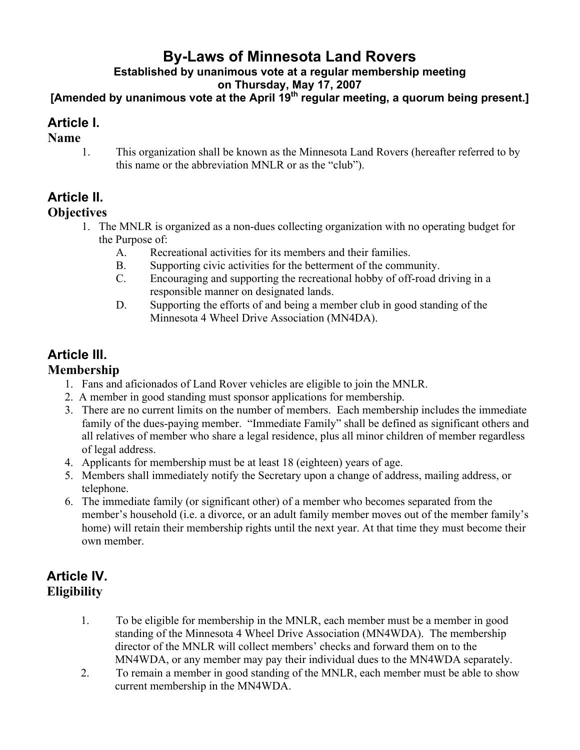# **By-Laws of Minnesota Land Rovers**

**Established by unanimous vote at a regular membership meeting**

**on Thursday, May 17, 2007**

**[Amended by unanimous vote at the April 19th regular meeting, a quorum being present.]**

# **Article I.**

#### **Name**

1. This organization shall be known as the Minnesota Land Rovers (hereafter referred to by this name or the abbreviation MNLR or as the "club").

# **Article II.**

#### **Objectives**

- 1. The MNLR is organized as a non-dues collecting organization with no operating budget for the Purpose of:
	- A. Recreational activities for its members and their families.
	- B. Supporting civic activities for the betterment of the community.
	- C. Encouraging and supporting the recreational hobby of off-road driving in a responsible manner on designated lands.
	- D. Supporting the efforts of and being a member club in good standing of the Minnesota 4 Wheel Drive Association (MN4DA).

# **Article III.**

### **Membership**

- 1. Fans and aficionados of Land Rover vehicles are eligible to join the MNLR.
- 2. A member in good standing must sponsor applications for membership.
- 3. There are no current limits on the number of members. Each membership includes the immediate family of the dues-paying member. "Immediate Family" shall be defined as significant others and all relatives of member who share a legal residence, plus all minor children of member regardless of legal address.
- 4. Applicants for membership must be at least 18 (eighteen) years of age.
- 5. Members shall immediately notify the Secretary upon a change of address, mailing address, or telephone.
- 6. The immediate family (or significant other) of a member who becomes separated from the member's household (i.e. a divorce, or an adult family member moves out of the member family's home) will retain their membership rights until the next year. At that time they must become their own member.

# **Article IV. Eligibility**

- 1. To be eligible for membership in the MNLR, each member must be a member in good standing of the Minnesota 4 Wheel Drive Association (MN4WDA). The membership director of the MNLR will collect members' checks and forward them on to the MN4WDA, or any member may pay their individual dues to the MN4WDA separately.
- 2. To remain a member in good standing of the MNLR, each member must be able to show current membership in the MN4WDA.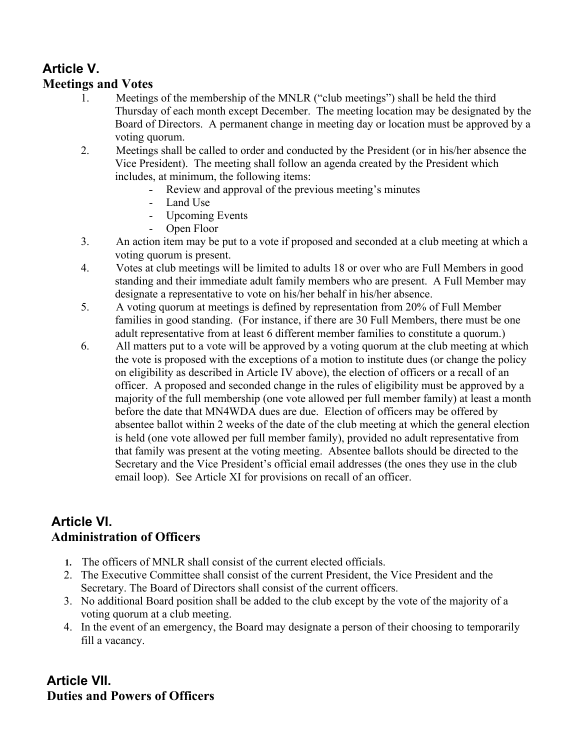## **Article V. Meetings and Votes**

- 1. Meetings of the membership of the MNLR ("club meetings") shall be held the third Thursday of each month except December. The meeting location may be designated by the Board of Directors. A permanent change in meeting day or location must be approved by a voting quorum.
- 2. Meetings shall be called to order and conducted by the President (or in his/her absence the Vice President). The meeting shall follow an agenda created by the President which includes, at minimum, the following items:
	- Review and approval of the previous meeting's minutes
	- Land Use
	- Upcoming Events
	- Open Floor
- 3. An action item may be put to a vote if proposed and seconded at a club meeting at which a voting quorum is present.
- 4. Votes at club meetings will be limited to adults 18 or over who are Full Members in good standing and their immediate adult family members who are present. A Full Member may designate a representative to vote on his/her behalf in his/her absence.
- 5. A voting quorum at meetings is defined by representation from 20% of Full Member families in good standing. (For instance, if there are 30 Full Members, there must be one adult representative from at least 6 different member families to constitute a quorum.)
- 6. All matters put to a vote will be approved by a voting quorum at the club meeting at which the vote is proposed with the exceptions of a motion to institute dues (or change the policy on eligibility as described in Article IV above), the election of officers or a recall of an officer. A proposed and seconded change in the rules of eligibility must be approved by a majority of the full membership (one vote allowed per full member family) at least a month before the date that MN4WDA dues are due. Election of officers may be offered by absentee ballot within 2 weeks of the date of the club meeting at which the general election is held (one vote allowed per full member family), provided no adult representative from that family was present at the voting meeting. Absentee ballots should be directed to the Secretary and the Vice President's official email addresses (the ones they use in the club email loop). See Article XI for provisions on recall of an officer.

# **Article VI. Administration of Officers**

- **1.** The officers of MNLR shall consist of the current elected officials.
- 2. The Executive Committee shall consist of the current President, the Vice President and the Secretary. The Board of Directors shall consist of the current officers.
- 3. No additional Board position shall be added to the club except by the vote of the majority of a voting quorum at a club meeting.
- 4. In the event of an emergency, the Board may designate a person of their choosing to temporarily fill a vacancy.

# **Article VII. Duties and Powers of Officers**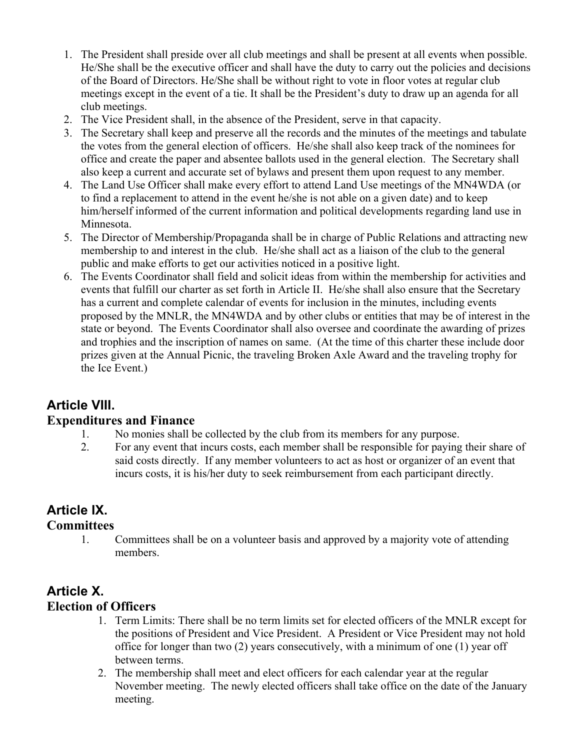- 1. The President shall preside over all club meetings and shall be present at all events when possible. He/She shall be the executive officer and shall have the duty to carry out the policies and decisions of the Board of Directors. He/She shall be without right to vote in floor votes at regular club meetings except in the event of a tie. It shall be the President's duty to draw up an agenda for all club meetings.
- 2. The Vice President shall, in the absence of the President, serve in that capacity.
- 3. The Secretary shall keep and preserve all the records and the minutes of the meetings and tabulate the votes from the general election of officers. He/she shall also keep track of the nominees for office and create the paper and absentee ballots used in the general election. The Secretary shall also keep a current and accurate set of bylaws and present them upon request to any member.
- 4. The Land Use Officer shall make every effort to attend Land Use meetings of the MN4WDA (or to find a replacement to attend in the event he/she is not able on a given date) and to keep him/herself informed of the current information and political developments regarding land use in Minnesota.
- 5. The Director of Membership/Propaganda shall be in charge of Public Relations and attracting new membership to and interest in the club. He/she shall act as a liaison of the club to the general public and make efforts to get our activities noticed in a positive light.
- 6. The Events Coordinator shall field and solicit ideas from within the membership for activities and events that fulfill our charter as set forth in Article II. He/she shall also ensure that the Secretary has a current and complete calendar of events for inclusion in the minutes, including events proposed by the MNLR, the MN4WDA and by other clubs or entities that may be of interest in the state or beyond. The Events Coordinator shall also oversee and coordinate the awarding of prizes and trophies and the inscription of names on same. (At the time of this charter these include door prizes given at the Annual Picnic, the traveling Broken Axle Award and the traveling trophy for the Ice Event.)

# **Article VIII.**

#### **Expenditures and Finance**

- 1. No monies shall be collected by the club from its members for any purpose.
- 2. For any event that incurs costs, each member shall be responsible for paying their share of said costs directly. If any member volunteers to act as host or organizer of an event that incurs costs, it is his/her duty to seek reimbursement from each participant directly.

### **Article IX.**

#### **Committees**

1. Committees shall be on a volunteer basis and approved by a majority vote of attending members.

### **Article X. Election of Officers**

- 1. Term Limits: There shall be no term limits set for elected officers of the MNLR except for the positions of President and Vice President. A President or Vice President may not hold office for longer than two (2) years consecutively, with a minimum of one (1) year off between terms.
- 2. The membership shall meet and elect officers for each calendar year at the regular November meeting. The newly elected officers shall take office on the date of the January meeting.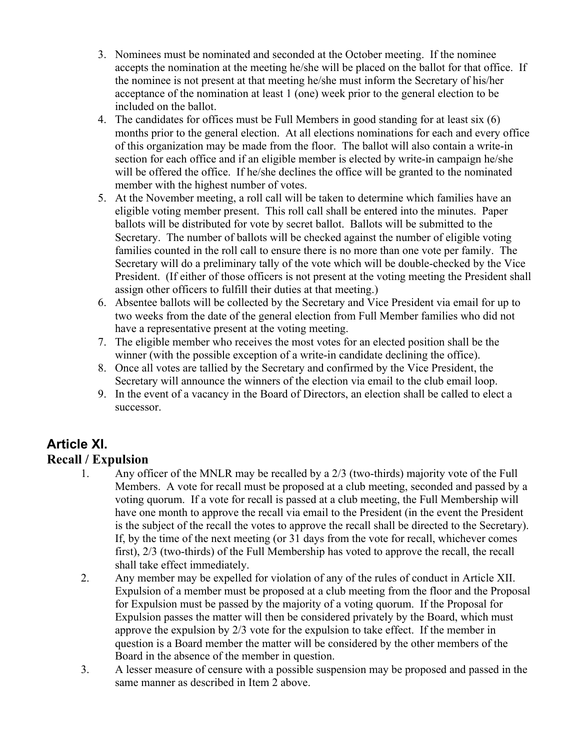- 3. Nominees must be nominated and seconded at the October meeting. If the nominee accepts the nomination at the meeting he/she will be placed on the ballot for that office. If the nominee is not present at that meeting he/she must inform the Secretary of his/her acceptance of the nomination at least 1 (one) week prior to the general election to be included on the ballot.
- 4. The candidates for offices must be Full Members in good standing for at least six (6) months prior to the general election. At all elections nominations for each and every office of this organization may be made from the floor. The ballot will also contain a write-in section for each office and if an eligible member is elected by write-in campaign he/she will be offered the office. If he/she declines the office will be granted to the nominated member with the highest number of votes.
- 5. At the November meeting, a roll call will be taken to determine which families have an eligible voting member present. This roll call shall be entered into the minutes. Paper ballots will be distributed for vote by secret ballot. Ballots will be submitted to the Secretary. The number of ballots will be checked against the number of eligible voting families counted in the roll call to ensure there is no more than one vote per family. The Secretary will do a preliminary tally of the vote which will be double-checked by the Vice President. (If either of those officers is not present at the voting meeting the President shall assign other officers to fulfill their duties at that meeting.)
- 6. Absentee ballots will be collected by the Secretary and Vice President via email for up to two weeks from the date of the general election from Full Member families who did not have a representative present at the voting meeting.
- 7. The eligible member who receives the most votes for an elected position shall be the winner (with the possible exception of a write-in candidate declining the office).
- 8. Once all votes are tallied by the Secretary and confirmed by the Vice President, the Secretary will announce the winners of the election via email to the club email loop.
- 9. In the event of a vacancy in the Board of Directors, an election shall be called to elect a successor.

### **Article XI. Recall / Expulsion**

- 1. Any officer of the MNLR may be recalled by a 2/3 (two-thirds) majority vote of the Full Members. A vote for recall must be proposed at a club meeting, seconded and passed by a voting quorum. If a vote for recall is passed at a club meeting, the Full Membership will have one month to approve the recall via email to the President (in the event the President is the subject of the recall the votes to approve the recall shall be directed to the Secretary). If, by the time of the next meeting (or 31 days from the vote for recall, whichever comes first), 2/3 (two-thirds) of the Full Membership has voted to approve the recall, the recall shall take effect immediately.
- 2. Any member may be expelled for violation of any of the rules of conduct in Article XII. Expulsion of a member must be proposed at a club meeting from the floor and the Proposal for Expulsion must be passed by the majority of a voting quorum. If the Proposal for Expulsion passes the matter will then be considered privately by the Board, which must approve the expulsion by 2/3 vote for the expulsion to take effect. If the member in question is a Board member the matter will be considered by the other members of the Board in the absence of the member in question.
- 3. A lesser measure of censure with a possible suspension may be proposed and passed in the same manner as described in Item 2 above.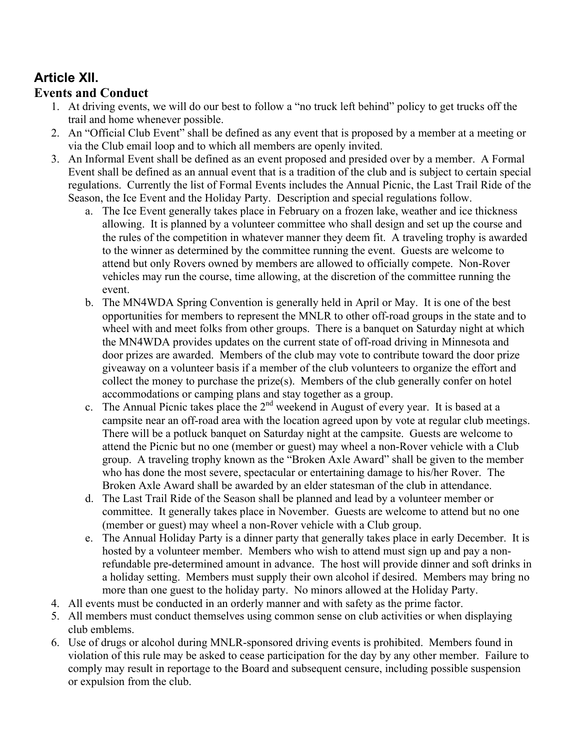# **Article XII.**

## **Events and Conduct**

- 1. At driving events, we will do our best to follow a "no truck left behind" policy to get trucks off the trail and home whenever possible.
- 2. An "Official Club Event" shall be defined as any event that is proposed by a member at a meeting or via the Club email loop and to which all members are openly invited.
- 3. An Informal Event shall be defined as an event proposed and presided over by a member. A Formal Event shall be defined as an annual event that is a tradition of the club and is subject to certain special regulations. Currently the list of Formal Events includes the Annual Picnic, the Last Trail Ride of the Season, the Ice Event and the Holiday Party. Description and special regulations follow.
	- a. The Ice Event generally takes place in February on a frozen lake, weather and ice thickness allowing. It is planned by a volunteer committee who shall design and set up the course and the rules of the competition in whatever manner they deem fit. A traveling trophy is awarded to the winner as determined by the committee running the event. Guests are welcome to attend but only Rovers owned by members are allowed to officially compete. Non-Rover vehicles may run the course, time allowing, at the discretion of the committee running the event.
	- b. The MN4WDA Spring Convention is generally held in April or May. It is one of the best opportunities for members to represent the MNLR to other off-road groups in the state and to wheel with and meet folks from other groups. There is a banquet on Saturday night at which the MN4WDA provides updates on the current state of off-road driving in Minnesota and door prizes are awarded. Members of the club may vote to contribute toward the door prize giveaway on a volunteer basis if a member of the club volunteers to organize the effort and collect the money to purchase the prize(s). Members of the club generally confer on hotel accommodations or camping plans and stay together as a group.
	- c. The Annual Picnic takes place the  $2<sup>nd</sup>$  weekend in August of every year. It is based at a campsite near an off-road area with the location agreed upon by vote at regular club meetings. There will be a potluck banquet on Saturday night at the campsite. Guests are welcome to attend the Picnic but no one (member or guest) may wheel a non-Rover vehicle with a Club group. A traveling trophy known as the "Broken Axle Award" shall be given to the member who has done the most severe, spectacular or entertaining damage to his/her Rover. The Broken Axle Award shall be awarded by an elder statesman of the club in attendance.
	- d. The Last Trail Ride of the Season shall be planned and lead by a volunteer member or committee. It generally takes place in November. Guests are welcome to attend but no one (member or guest) may wheel a non-Rover vehicle with a Club group.
	- e. The Annual Holiday Party is a dinner party that generally takes place in early December. It is hosted by a volunteer member. Members who wish to attend must sign up and pay a nonrefundable pre-determined amount in advance. The host will provide dinner and soft drinks in a holiday setting. Members must supply their own alcohol if desired. Members may bring no more than one guest to the holiday party. No minors allowed at the Holiday Party.
- 4. All events must be conducted in an orderly manner and with safety as the prime factor.
- 5. All members must conduct themselves using common sense on club activities or when displaying club emblems.
- 6. Use of drugs or alcohol during MNLR-sponsored driving events is prohibited. Members found in violation of this rule may be asked to cease participation for the day by any other member. Failure to comply may result in reportage to the Board and subsequent censure, including possible suspension or expulsion from the club.